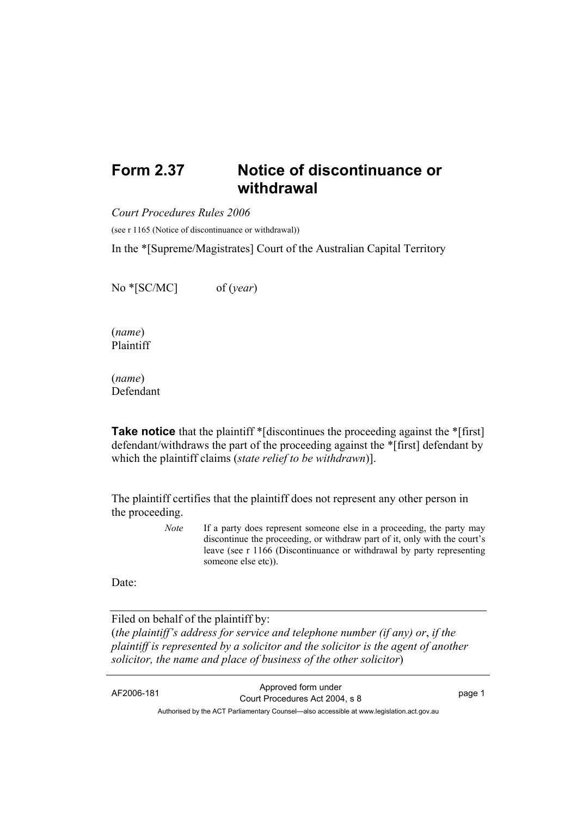## **Form 2.37 Notice of discontinuance or withdrawal**

*Court Procedures Rules 2006*

(see r 1165 (Notice of discontinuance or withdrawal))

In the \*[Supreme/Magistrates] Court of the Australian Capital Territory

No \*[SC/MC] of (*year*)

(*name*) Plaintiff

(*name*) Defendant

**Take notice** that the plaintiff \*[discontinues the proceeding against the \*[first] defendant/withdraws the part of the proceeding against the \*[first] defendant by which the plaintiff claims (*state relief to be withdrawn*)].

The plaintiff certifies that the plaintiff does not represent any other person in the proceeding.

> *Note* If a party does represent someone else in a proceeding, the party may discontinue the proceeding, or withdraw part of it, only with the court's leave (see r 1166 (Discontinuance or withdrawal by party representing someone else etc)).

Date:

Filed on behalf of the plaintiff by:

(*the plaintiff's address for service and telephone number (if any) or*, *if the plaintiff is represented by a solicitor and the solicitor is the agent of another solicitor, the name and place of business of the other solicitor*)

AF2006-181 Approved form under Court Procedures Act 2004, s 8 page 1 Authorised by the ACT Parliamentary Counsel—also accessible at www.legislation.act.gov.au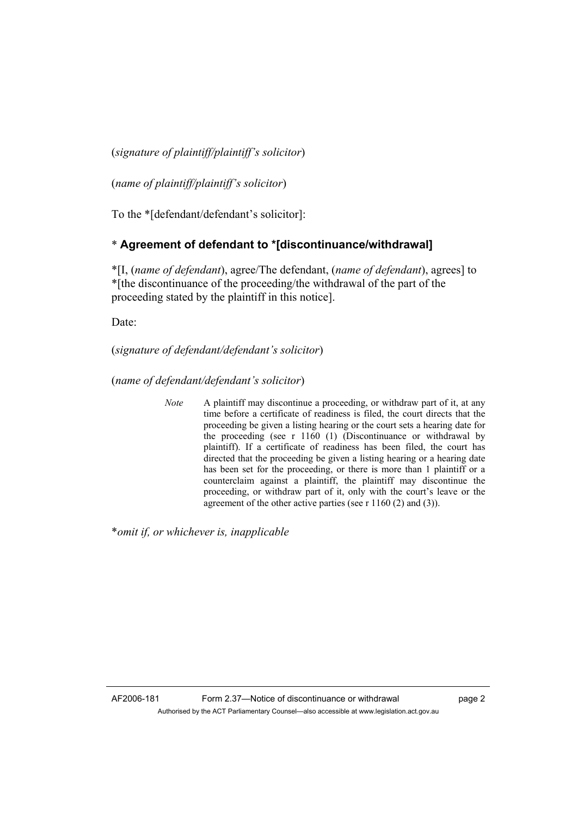(*signature of plaintiff/plaintiff's solicitor*)

(*name of plaintiff/plaintiff's solicitor*)

To the \*[defendant/defendant's solicitor]:

## \* **Agreement of defendant to \*[discontinuance/withdrawal]**

\*[I, (*name of defendant*), agree/The defendant, (*name of defendant*), agrees] to \*[the discontinuance of the proceeding/the withdrawal of the part of the proceeding stated by the plaintiff in this notice].

Date:

(*signature of defendant/defendant's solicitor*)

(*name of defendant/defendant's solicitor*)

*Note* A plaintiff may discontinue a proceeding, or withdraw part of it, at any time before a certificate of readiness is filed, the court directs that the proceeding be given a listing hearing or the court sets a hearing date for the proceeding (see r 1160 (1) (Discontinuance or withdrawal by plaintiff). If a certificate of readiness has been filed, the court has directed that the proceeding be given a listing hearing or a hearing date has been set for the proceeding, or there is more than 1 plaintiff or a counterclaim against a plaintiff, the plaintiff may discontinue the proceeding, or withdraw part of it, only with the court's leave or the agreement of the other active parties (see r 1160 (2) and (3)).

\**omit if, or whichever is, inapplicable*